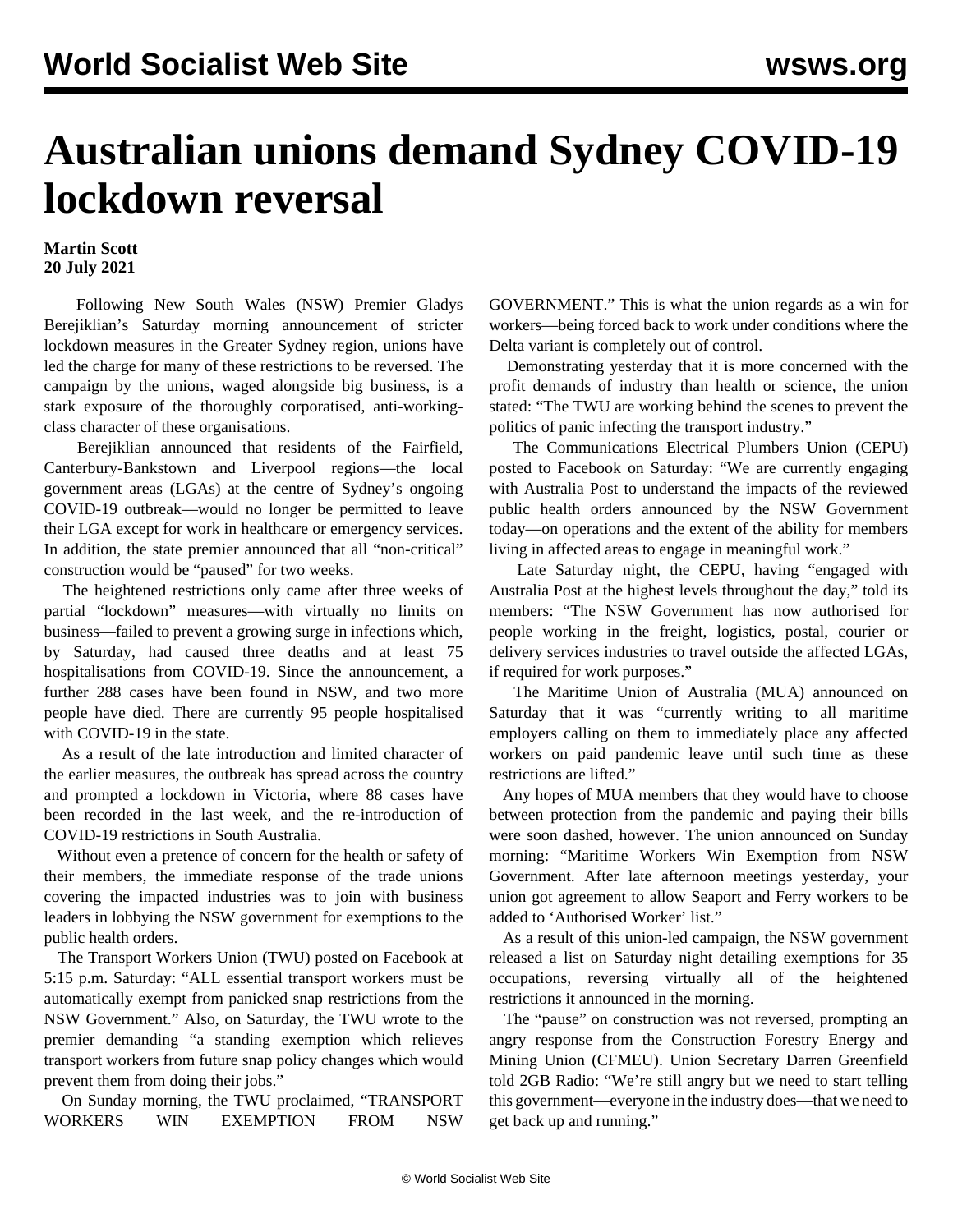## **Australian unions demand Sydney COVID-19 lockdown reversal**

## **Martin Scott 20 July 2021**

 Following New South Wales (NSW) Premier Gladys Berejiklian's Saturday morning announcement of stricter lockdown measures in the Greater Sydney region, unions have led the charge for many of these restrictions to be reversed. The campaign by the unions, waged alongside big business, is a stark exposure of the thoroughly corporatised, anti-workingclass character of these organisations.

 Berejiklian announced that residents of the Fairfield, Canterbury-Bankstown and Liverpool regions—the local government areas (LGAs) at the centre of Sydney's ongoing COVID-19 outbreak—would no longer be permitted to leave their LGA except for work in healthcare or emergency services. In addition, the state premier announced that all "non-critical" construction would be "paused" for two weeks.

 The heightened restrictions only came after three weeks of partial "lockdown" measures—with virtually no limits on business—failed to prevent a growing surge in infections which, by Saturday, had caused three deaths and at least 75 hospitalisations from COVID-19. Since the announcement, a further 288 cases have been found in NSW, and two more people have died. There are currently 95 people hospitalised with COVID-19 in the state.

 As a result of the late introduction and limited character of the earlier measures, the outbreak has spread across the country and prompted a lockdown in Victoria, where 88 cases have been recorded in the last week, and the re-introduction of COVID-19 restrictions in South Australia.

 Without even a pretence of concern for the health or safety of their members, the immediate response of the trade unions covering the impacted industries was to join with business leaders in lobbying the NSW government for exemptions to the public health orders.

 The Transport Workers Union (TWU) posted on Facebook at 5:15 p.m. Saturday: "ALL essential transport workers must be automatically exempt from panicked snap restrictions from the NSW Government." Also, on Saturday, the TWU wrote to the premier demanding "a standing exemption which relieves transport workers from future snap policy changes which would prevent them from doing their jobs."

 On Sunday morning, the TWU proclaimed, "TRANSPORT WORKERS WIN EXEMPTION FROM NSW GOVERNMENT." This is what the union regards as a win for workers—being forced back to work under conditions where the Delta variant is completely out of control.

 Demonstrating yesterday that it is more concerned with the profit demands of industry than health or science, the union stated: "The TWU are working behind the scenes to prevent the politics of panic infecting the transport industry."

 The Communications Electrical Plumbers Union (CEPU) posted to Facebook on Saturday: "We are currently engaging with Australia Post to understand the impacts of the reviewed public health orders announced by the NSW Government today—on operations and the extent of the ability for members living in affected areas to engage in meaningful work."

 Late Saturday night, the CEPU, having "engaged with Australia Post at the highest levels throughout the day," told its members: "The NSW Government has now authorised for people working in the freight, logistics, postal, courier or delivery services industries to travel outside the affected LGAs, if required for work purposes."

 The Maritime Union of Australia (MUA) announced on Saturday that it was "currently writing to all maritime employers calling on them to immediately place any affected workers on paid pandemic leave until such time as these restrictions are lifted."

 Any hopes of MUA members that they would have to choose between protection from the pandemic and paying their bills were soon dashed, however. The union announced on Sunday morning: "Maritime Workers Win Exemption from NSW Government. After late afternoon meetings yesterday, your union got agreement to allow Seaport and Ferry workers to be added to 'Authorised Worker' list."

 As a result of this union-led campaign, the NSW government released a list on Saturday night detailing exemptions for 35 occupations, reversing virtually all of the heightened restrictions it announced in the morning.

 The "pause" on construction was not reversed, prompting an angry response from the Construction Forestry Energy and Mining Union (CFMEU). Union Secretary Darren Greenfield told 2GB Radio: "We're still angry but we need to start telling this government—everyone in the industry does—that we need to get back up and running."